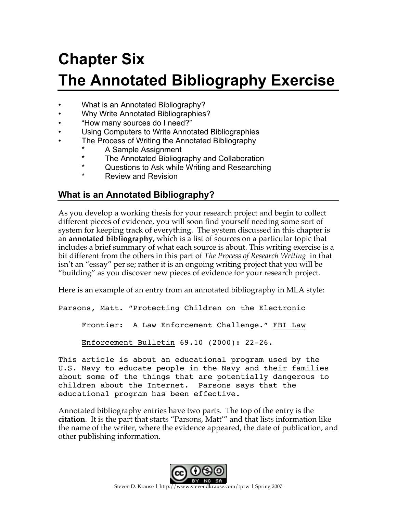# **Chapter Six The Annotated Bibliography Exercise**

- What is an Annotated Bibliography?
- Why Write Annotated Bibliographies?
- "How many sources do I need?"
- Using Computers to Write Annotated Bibliographies
- The Process of Writing the Annotated Bibliography
	- \* A Sample Assignment<br>\* The Appetated Piblicar
	- \* The Annotated Bibliography and Collaboration
	- Questions to Ask while Writing and Researching
	- **Review and Revision**

#### **What is an Annotated Bibliography?**

As you develop a working thesis for your research project and begin to collect different pieces of evidence, you will soon find yourself needing some sort of system for keeping track of everything. The system discussed in this chapter is an **annotated bibliography,** which is a list of sources on a particular topic that includes a brief summary of what each source is about. This writing exercise is a bit different from the others in this part of *The Process of Research Writing* in that isn't an "essay" per se; rather it is an ongoing writing project that you will be "building" as you discover new pieces of evidence for your research project.

Here is an example of an entry from an annotated bibliography in MLA style:

Parsons, Matt. "Protecting Children on the Electronic

Frontier: A Law Enforcement Challenge." FBI Law

Enforcement Bulletin 69.10 (2000): 22-26.

This article is about an educational program used by the U.S. Navy to educate people in the Navy and their families about some of the things that are potentially dangerous to children about the Internet. Parsons says that the educational program has been effective.

Annotated bibliography entries have two parts. The top of the entry is the **citation**. It is the part that starts "Parsons, Matt'" and that lists information like the name of the writer, where the evidence appeared, the date of publication, and other publishing information.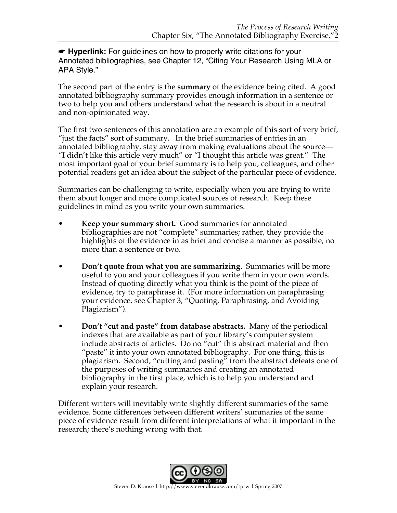☛ **Hyperlink:** For guidelines on how to properly write citations for your Annotated bibliographies, see Chapter 12, "Citing Your Research Using MLA or APA Style."

The second part of the entry is the **summary** of the evidence being cited. A good annotated bibliography summary provides enough information in a sentence or two to help you and others understand what the research is about in a neutral and non-opinionated way.

The first two sentences of this annotation are an example of this sort of very brief, "just the facts" sort of summary. In the brief summaries of entries in an annotated bibliography, stay away from making evaluations about the source— "I didn't like this article very much" or "I thought this article was great." The most important goal of your brief summary is to help you, colleagues, and other potential readers get an idea about the subject of the particular piece of evidence.

Summaries can be challenging to write, especially when you are trying to write them about longer and more complicated sources of research. Keep these guidelines in mind as you write your own summaries.

- **Keep your summary short.** Good summaries for annotated bibliographies are not "complete" summaries; rather, they provide the highlights of the evidence in as brief and concise a manner as possible, no more than a sentence or two.
- **Don't quote from what you are summarizing.** Summaries will be more useful to you and your colleagues if you write them in your own words. Instead of quoting directly what you think is the point of the piece of evidence, try to paraphrase it. (For more information on paraphrasing your evidence, see Chapter 3, "Quoting, Paraphrasing, and Avoiding Plagiarism").
- **Don't "cut and paste" from database abstracts.** Many of the periodical indexes that are available as part of your library's computer system include abstracts of articles. Do no "cut" this abstract material and then "paste" it into your own annotated bibliography. For one thing, this is plagiarism. Second, "cutting and pasting" from the abstract defeats one of the purposes of writing summaries and creating an annotated bibliography in the first place, which is to help you understand and explain your research.

Different writers will inevitably write slightly different summaries of the same evidence. Some differences between different writers' summaries of the same piece of evidence result from different interpretations of what it important in the research; there's nothing wrong with that.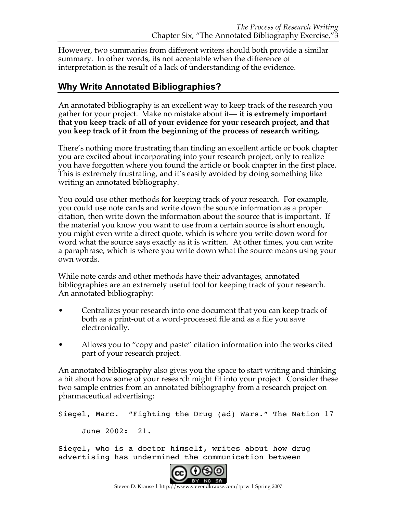However, two summaries from different writers should both provide a similar summary. In other words, its not acceptable when the difference of interpretation is the result of a lack of understanding of the evidence.

### **Why Write Annotated Bibliographies?**

An annotated bibliography is an excellent way to keep track of the research you gather for your project. Make no mistake about it— **it is extremely important that you keep track of all of your evidence for your research project, and that you keep track of it from the beginning of the process of research writing.**

There's nothing more frustrating than finding an excellent article or book chapter you are excited about incorporating into your research project, only to realize you have forgotten where you found the article or book chapter in the first place. This is extremely frustrating, and it's easily avoided by doing something like writing an annotated bibliography.

You could use other methods for keeping track of your research. For example, you could use note cards and write down the source information as a proper citation, then write down the information about the source that is important. If the material you know you want to use from a certain source is short enough, you might even write a direct quote, which is where you write down word for word what the source says exactly as it is written. At other times, you can write a paraphrase, which is where you write down what the source means using your own words.

While note cards and other methods have their advantages, annotated bibliographies are an extremely useful tool for keeping track of your research. An annotated bibliography:

- Centralizes your research into one document that you can keep track of both as a print-out of a word-processed file and as a file you save electronically.
- Allows you to "copy and paste" citation information into the works cited part of your research project.

An annotated bibliography also gives you the space to start writing and thinking a bit about how some of your research might fit into your project. Consider these two sample entries from an annotated bibliography from a research project on pharmaceutical advertising:

Siegel, Marc. "Fighting the Drug (ad) Wars." The Nation 17

June 2002: 21.

Siegel, who is a doctor himself, writes about how drug advertising has undermined the communication between

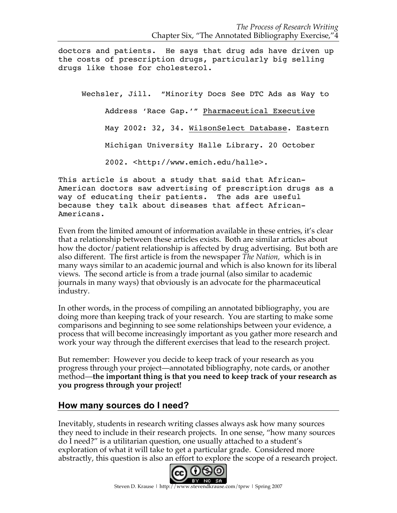doctors and patients. He says that drug ads have driven up the costs of prescription drugs, particularly big selling drugs like those for cholesterol.

Wechsler, Jill. "Minority Docs See DTC Ads as Way to Address 'Race Gap.'" Pharmaceutical Executive May 2002: 32, 34. WilsonSelect Database. Eastern Michigan University Halle Library. 20 October 2002. <http://www.emich.edu/halle>.

This article is about a study that said that African-American doctors saw advertising of prescription drugs as a way of educating their patients. The ads are useful because they talk about diseases that affect African-Americans.

Even from the limited amount of information available in these entries, it's clear that a relationship between these articles exists. Both are similar articles about how the doctor/patient relationship is affected by drug advertising. But both are also different. The first article is from the newspaper *The Nation,* which is in many ways similar to an academic journal and which is also known for its liberal views. The second article is from a trade journal (also similar to academic journals in many ways) that obviously is an advocate for the pharmaceutical industry.

In other words, in the process of compiling an annotated bibliography, you are doing more than keeping track of your research. You are starting to make some comparisons and beginning to see some relationships between your evidence, a process that will become increasingly important as you gather more research and work your way through the different exercises that lead to the research project.

But remember: However you decide to keep track of your research as you progress through your project—annotated bibliography, note cards, or another method—**the important thing is that you need to keep track of your research as you progress through your project!**

#### **How many sources do I need?**

Inevitably, students in research writing classes always ask how many sources they need to include in their research projects. In one sense, "how many sources do I need?" is a utilitarian question, one usually attached to a student's exploration of what it will take to get a particular grade. Considered more abstractly, this question is also an effort to explore the scope of a research project.

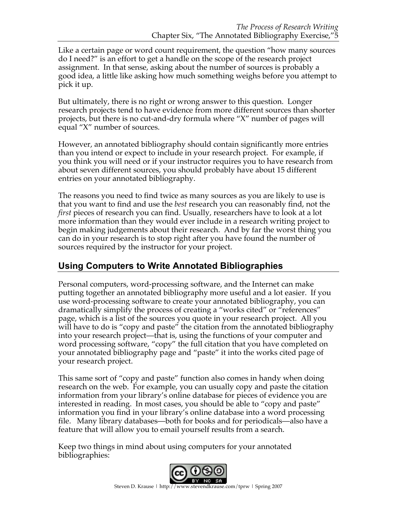Like a certain page or word count requirement, the question "how many sources do I need?" is an effort to get a handle on the scope of the research project assignment. In that sense, asking about the number of sources is probably a good idea, a little like asking how much something weighs before you attempt to pick it up.

But ultimately, there is no right or wrong answer to this question. Longer research projects tend to have evidence from more different sources than shorter projects, but there is no cut-and-dry formula where "X" number of pages will equal "X" number of sources.

However, an annotated bibliography should contain significantly more entries than you intend or expect to include in your research project. For example, if you think you will need or if your instructor requires you to have research from about seven different sources, you should probably have about 15 different entries on your annotated bibliography.

The reasons you need to find twice as many sources as you are likely to use is that you want to find and use the *best* research you can reasonably find, not the *first* pieces of research you can find. Usually, researchers have to look at a lot more information than they would ever include in a research writing project to begin making judgements about their research. And by far the worst thing you can do in your research is to stop right after you have found the number of sources required by the instructor for your project.

## **Using Computers to Write Annotated Bibliographies**

Personal computers, word-processing software, and the Internet can make putting together an annotated bibliography more useful and a lot easier. If you use word-processing software to create your annotated bibliography, you can dramatically simplify the process of creating a "works cited" or "references" page, which is a list of the sources you quote in your research project. All you will have to do is "copy and paste" the citation from the annotated bibliography into your research project—that is, using the functions of your computer and word processing software, "copy" the full citation that you have completed on your annotated bibliography page and "paste" it into the works cited page of your research project.

This same sort of "copy and paste" function also comes in handy when doing research on the web. For example, you can usually copy and paste the citation information from your library's online database for pieces of evidence you are interested in reading. In most cases, you should be able to "copy and paste" information you find in your library's online database into a word processing file. Many library databases—both for books and for periodicals—also have a feature that will allow you to email yourself results from a search.

Keep two things in mind about using computers for your annotated bibliographies:

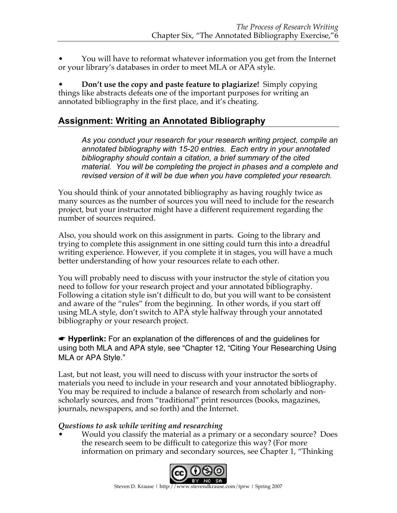• You will have to reformat whatever information you get from the Internet or your library's databases in order to meet MLA or APA style.

• **Don't use the copy and paste feature to plagiarize!** Simply copying things like abstracts defeats one of the important purposes for writing an annotated bibliography in the first place, and it's cheating.

## **Assignment: Writing an Annotated Bibliography**

*As you conduct your research for your research writing project, compile an annotated bibliography with 15-20 entries. Each entry in your annotated bibliography should contain a citation, a brief summary of the cited material. You will be completing the project in phases and a complete and revised version of it will be due when you have completed your research.*

You should think of your annotated bibliography as having roughly twice as many sources as the number of sources you will need to include for the research project, but your instructor might have a different requirement regarding the number of sources required.

Also, you should work on this assignment in parts. Going to the library and trying to complete this assignment in one sitting could turn this into a dreadful writing experience. However, if you complete it in stages, you will have a much better understanding of how your resources relate to each other.

You will probably need to discuss with your instructor the style of citation you need to follow for your research project and your annotated bibliography. Following a citation style isn't difficult to do, but you will want to be consistent and aware of the "rules" from the beginning. In other words, if you start off using MLA style, don't switch to APA style halfway through your annotated bibliography or your research project.

☛ **Hyperlink:** For an explanation of the differences of and the guidelines for using both MLA and APA style, see "Chapter 12, "Citing Your Researching Using MLA or APA Style."

Last, but not least, you will need to discuss with your instructor the sorts of materials you need to include in your research and your annotated bibliography. You may be required to include a balance of research from scholarly and nonscholarly sources, and from "traditional" print resources (books, magazines, journals, newspapers, and so forth) and the Internet.

#### *Questions to ask while writing and researching*

• Would you classify the material as a primary or a secondary source? Does the research seem to be difficult to categorize this way? (For more information on primary and secondary sources, see Chapter 1, "Thinking

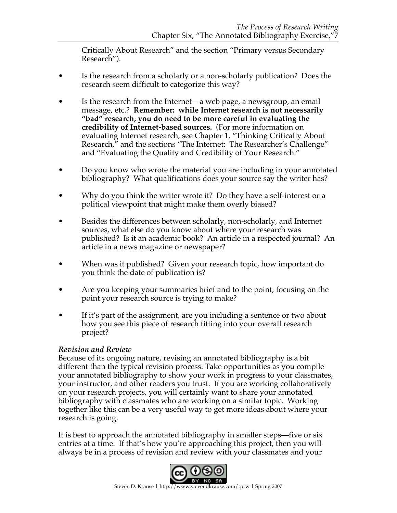Critically About Research" and the section "Primary versus Secondary Research").

- Is the research from a scholarly or a non-scholarly publication? Does the research seem difficult to categorize this way?
- Is the research from the Internet—a web page, a newsgroup, an email message, etc.? **Remember: while Internet research is not necessarily "bad" research, you do need to be more careful in evaluating the credibility of Internet-based sources.** (For more information on evaluating Internet research, see Chapter 1, "Thinking Critically About Research," and the sections "The Internet: The Researcher's Challenge" and "Evaluating the Quality and Credibility of Your Research."
- Do you know who wrote the material you are including in your annotated bibliography? What qualifications does your source say the writer has?
- Why do you think the writer wrote it? Do they have a self-interest or a political viewpoint that might make them overly biased?
- Besides the differences between scholarly, non-scholarly, and Internet sources, what else do you know about where your research was published? Is it an academic book? An article in a respected journal? An article in a news magazine or newspaper?
- When was it published? Given your research topic, how important do you think the date of publication is?
- Are you keeping your summaries brief and to the point, focusing on the point your research source is trying to make?
- If it's part of the assignment, are you including a sentence or two about how you see this piece of research fitting into your overall research project?

#### *Revision and Review*

Because of its ongoing nature, revising an annotated bibliography is a bit different than the typical revision process. Take opportunities as you compile your annotated bibliography to show your work in progress to your classmates, your instructor, and other readers you trust. If you are working collaboratively on your research projects, you will certainly want to share your annotated bibliography with classmates who are working on a similar topic. Working together like this can be a very useful way to get more ideas about where your research is going.

It is best to approach the annotated bibliography in smaller steps—five or six entries at a time. If that's how you're approaching this project, then you will always be in a process of revision and review with your classmates and your